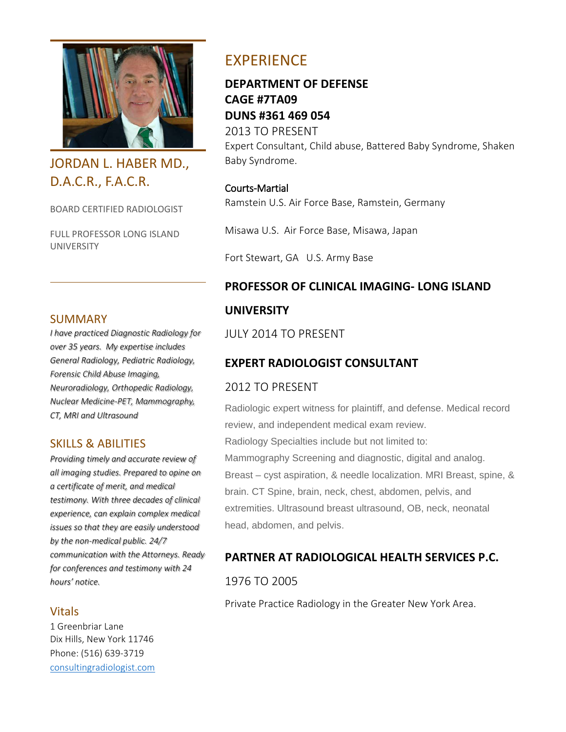

# JORDAN L. HABER MD., D.A.C.R., F.A.C.R.

BOARD CERTIFIED RADIOLOGIST

FULL PROFESSOR LONG ISLAND UNIVERSITY

#### SUMMARY

*I have practiced Diagnostic Radiology for over 35 years. My expertise includes General Radiology, Pediatric Radiology, Forensic Child Abuse Imaging, Neuroradiology, Orthopedic Radiology, Nuclear Medicine-PET, Mammography, CT, MRI and Ultrasound*

## SKILLS & ABILITIES

*Providing timely and accurate review of all imaging studies. Prepared to opine on a certificate of merit, and medical testimony. With three decades of clinical experience, can explain complex medical issues so that they are easily understood by the non-medical public. 24/7 communication with the Attorneys. Ready for conferences and testimony with 24 hours' notice.* 

#### Vitals

1 Greenbriar Lane Dix Hills, New York 11746 Phone: (516) 639-3719 [consultingradiologist.com](http://www.consultingradiologist.com/)

# EXPERIENCE

**DEPARTMENT OF DEFENSE CAGE #7TA09 DUNS #361 469 054** 2013 TO PRESENT Expert Consultant, Child abuse, Battered Baby Syndrome, Shaken Baby Syndrome.

Courts-Martial

Ramstein U.S. Air Force Base, Ramstein, Germany

Misawa U.S. Air Force Base, Misawa, Japan

Fort Stewart, GA U.S. Army Base

# **PROFESSOR OF CLINICAL IMAGING- LONG ISLAND UNIVERSITY**

JULY 2014 TO PRESENT

## **EXPERT RADIOLOGIST CONSULTANT**

## 2012 TO PRESENT

Radiologic expert witness for plaintiff, and defense. Medical record review, and independent medical exam review. Radiology Specialties include but not limited to: Mammography Screening and diagnostic, digital and analog. Breast – cyst aspiration, & needle localization. MRI Breast, spine, & brain. CT Spine, brain, neck, chest, abdomen, pelvis, and extremities. Ultrasound breast ultrasound, OB, neck, neonatal head, abdomen, and pelvis.

## **PARTNER AT RADIOLOGICAL HEALTH SERVICES P.C.**

1976 TO 2005

Private Practice Radiology in the Greater New York Area.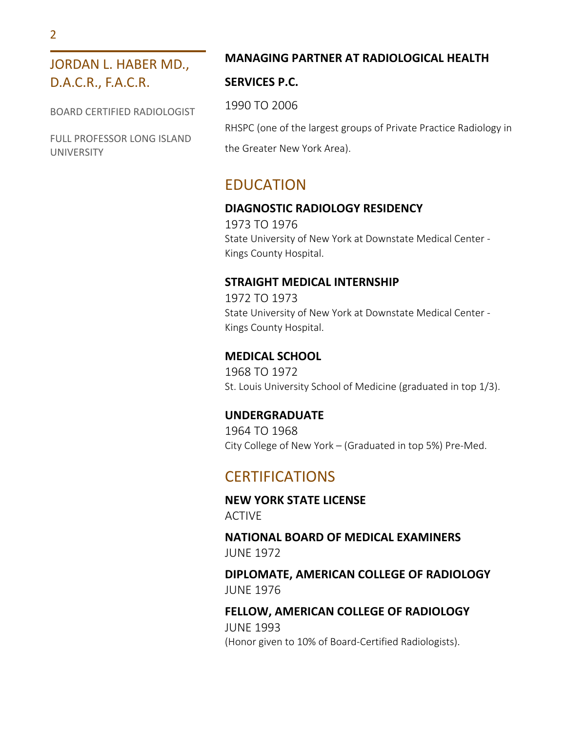# JORDAN L. HABER MD., D.A.C.R., F.A.C.R.

BOARD CERTIFIED RADIOLOGIST

FULL PROFESSOR LONG ISLAND UNIVERSITY

#### **MANAGING PARTNER AT RADIOLOGICAL HEALTH**

#### **SERVICES P.C.**

1990 TO 2006

RHSPC (one of the largest groups of Private Practice Radiology in

the Greater New York Area).

# EDUCATION

## **DIAGNOSTIC RADIOLOGY RESIDENCY**

1973 TO 1976 State University of New York at Downstate Medical Center - Kings County Hospital.

#### **STRAIGHT MEDICAL INTERNSHIP**

1972 TO 1973 State University of New York at Downstate Medical Center - Kings County Hospital.

#### **MEDICAL SCHOOL**

1968 TO 1972 St. Louis University School of Medicine (graduated in top 1/3).

#### **UNDERGRADUATE**

1964 TO 1968 City College of New York – (Graduated in top 5%) Pre-Med.

# **CERTIFICATIONS**

**NEW YORK STATE LICENSE** ACTIVE

#### **NATIONAL BOARD OF MEDICAL EXAMINERS** JUNE 1972

**DIPLOMATE, AMERICAN COLLEGE OF RADIOLOGY** JUNE 1976

## **FELLOW, AMERICAN COLLEGE OF RADIOLOGY** JUNE 1993 (Honor given to 10% of Board-Certified Radiologists).